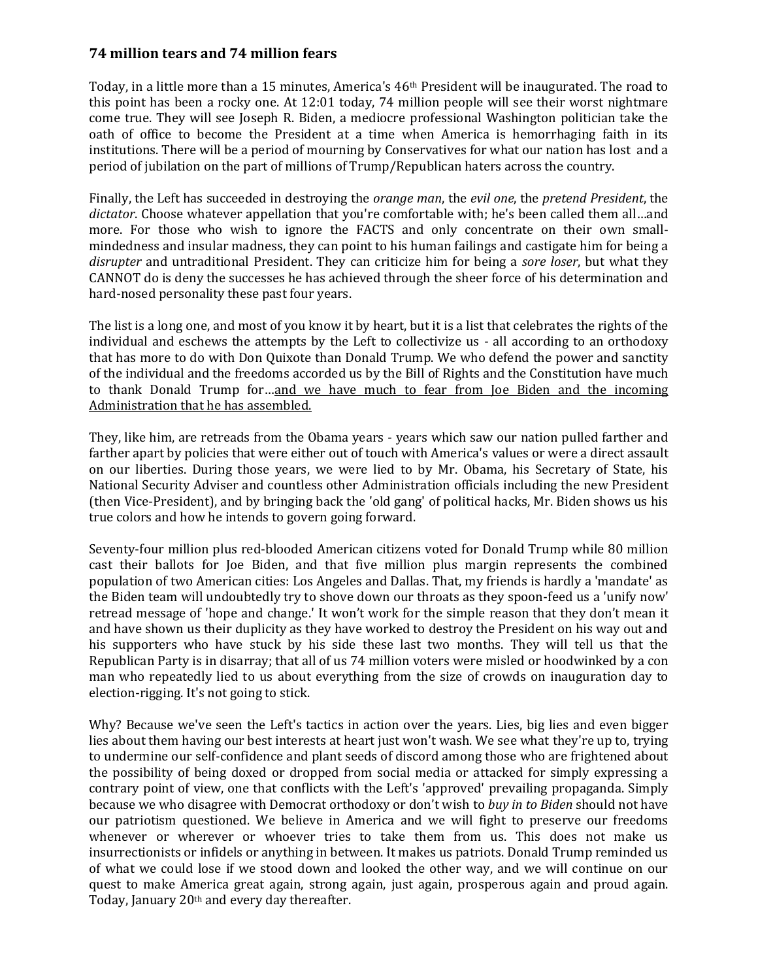## **74 million tears and 74 million fears**

Today, in a little more than a 15 minutes, America's 46th President will be inaugurated. The road to this point has been a rocky one. At 12:01 today, 74 million people will see their worst nightmare come true. They will see Joseph R. Biden, a mediocre professional Washington politician take the oath of office to become the President at a time when America is hemorrhaging faith in its institutions. There will be a period of mourning by Conservatives for what our nation has lost and a period of jubilation on the part of millions of Trump/Republican haters across the country.

Finally, the Left has succeeded in destroying the *orange man*, the *evil one*, the *pretend President*, the *dictator*. Choose whatever appellation that you're comfortable with; he's been called them all…and more. For those who wish to ignore the FACTS and only concentrate on their own smallmindedness and insular madness, they can point to his human failings and castigate him for being a *disrupter* and untraditional President. They can criticize him for being a *sore loser*, but what they CANNOT do is deny the successes he has achieved through the sheer force of his determination and hard-nosed personality these past four years.

The list is a long one, and most of you know it by heart, but it is a list that celebrates the rights of the individual and eschews the attempts by the Left to collectivize us - all according to an orthodoxy that has more to do with Don Quixote than Donald Trump. We who defend the power and sanctity of the individual and the freedoms accorded us by the Bill of Rights and the Constitution have much to thank Donald Trump for…and we have much to fear from Joe Biden and the incoming Administration that he has assembled.

They, like him, are retreads from the Obama years - years which saw our nation pulled farther and farther apart by policies that were either out of touch with America's values or were a direct assault on our liberties. During those years, we were lied to by Mr. Obama, his Secretary of State, his National Security Adviser and countless other Administration officials including the new President (then Vice-President), and by bringing back the 'old gang' of political hacks, Mr. Biden shows us his true colors and how he intends to govern going forward.

Seventy-four million plus red-blooded American citizens voted for Donald Trump while 80 million cast their ballots for Joe Biden, and that five million plus margin represents the combined population of two American cities: Los Angeles and Dallas. That, my friends is hardly a 'mandate' as the Biden team will undoubtedly try to shove down our throats as they spoon-feed us a 'unify now' retread message of 'hope and change.' It won't work for the simple reason that they don't mean it and have shown us their duplicity as they have worked to destroy the President on his way out and his supporters who have stuck by his side these last two months. They will tell us that the Republican Party is in disarray; that all of us 74 million voters were misled or hoodwinked by a con man who repeatedly lied to us about everything from the size of crowds on inauguration day to election-rigging. It's not going to stick.

Why? Because we've seen the Left's tactics in action over the years. Lies, big lies and even bigger lies about them having our best interests at heart just won't wash. We see what they're up to, trying to undermine our self-confidence and plant seeds of discord among those who are frightened about the possibility of being doxed or dropped from social media or attacked for simply expressing a contrary point of view, one that conflicts with the Left's 'approved' prevailing propaganda. Simply because we who disagree with Democrat orthodoxy or don't wish to *buy in to Biden* should not have our patriotism questioned. We believe in America and we will fight to preserve our freedoms whenever or wherever or whoever tries to take them from us. This does not make us insurrectionists or infidels or anything in between. It makes us patriots. Donald Trump reminded us of what we could lose if we stood down and looked the other way, and we will continue on our quest to make America great again, strong again, just again, prosperous again and proud again. Today, January 20<sup>th</sup> and every day thereafter.